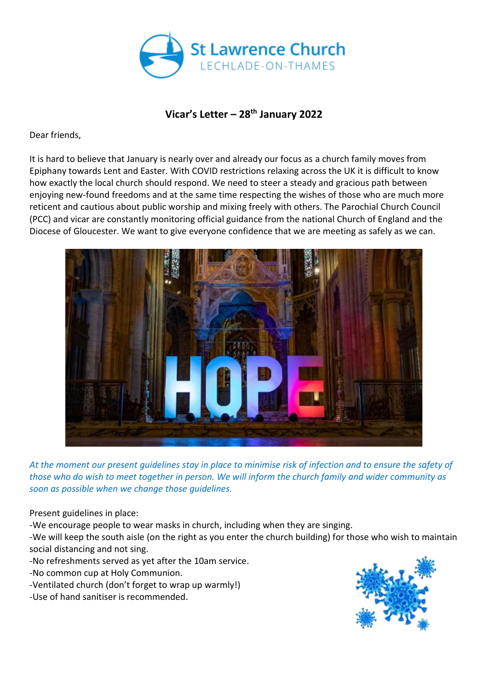

## **Vicar's Letter – 28 th January 2022**

Dear friends,

It is hard to believe that January is nearly over and already our focus as a church family moves from Epiphany towards Lent and Easter. With COVID restrictions relaxing across the UK it is difficult to know how exactly the local church should respond. We need to steer a steady and gracious path between enjoying new-found freedoms and at the same time respecting the wishes of those who are much more reticent and cautious about public worship and mixing freely with others. The Parochial Church Council (PCC) and vicar are constantly monitoring official guidance from the national Church of England and the Diocese of Gloucester. We want to give everyone confidence that we are meeting as safely as we can.



*At the moment our present guidelines stay in place to minimise risk of infection and to ensure the safety of those who do wish to meet together in person. We will inform the church family and wider community as soon as possible when we change those guidelines.*

Present guidelines in place:

-We encourage people to wear masks in church, including when they are singing.

-We will keep the south aisle (on the right as you enter the church building) for those who wish to maintain social distancing and not sing.

-No refreshments served as yet after the 10am service.

-No common cup at Holy Communion.

- -Ventilated church (don't forget to wrap up warmly!)
- -Use of hand sanitiser is recommended.

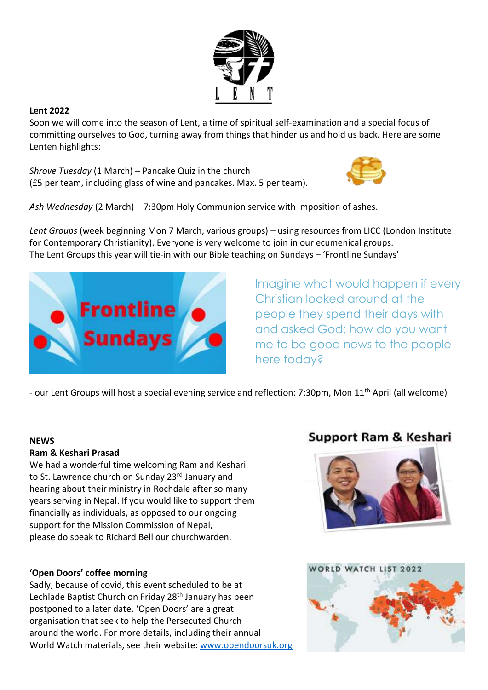

### **Lent 2022**

Soon we will come into the season of Lent, a time of spiritual self-examination and a special focus of committing ourselves to God, turning away from things that hinder us and hold us back. Here are some Lenten highlights:

*Shrove Tuesday* (1 March) – Pancake Quiz in the church (£5 per team, including glass of wine and pancakes. Max. 5 per team).



*Ash Wednesday* (2 March) – 7:30pm Holy Communion service with imposition of ashes.

*Lent Groups* (week beginning Mon 7 March, various groups) – using resources from LICC (London Institute for Contemporary Christianity). Everyone is very welcome to join in our ecumenical groups. The Lent Groups this year will tie-in with our Bible teaching on Sundays – 'Frontline Sundays'



Imagine what would happen if every Christian looked around at the people they spend their days with and asked God: how do you want me to be good news to the people here today?

- our Lent Groups will host a special evening service and reflection: 7:30pm, Mon 11<sup>th</sup> April (all welcome)

#### **NEWS**

#### **Ram & Keshari Prasad**

We had a wonderful time welcoming Ram and Keshari to St. Lawrence church on Sunday 23rd January and hearing about their ministry in Rochdale after so many years serving in Nepal. If you would like to support them financially as individuals, as opposed to our ongoing support for the Mission Commission of Nepal, please do speak to Richard Bell our churchwarden.

#### **'Open Doors' coffee morning**

Sadly, because of covid, this event scheduled to be at Lechlade Baptist Church on Friday 28<sup>th</sup> January has been postponed to a later date. 'Open Doors' are a great organisation that seek to help the Persecuted Church around the world. For more details, including their annual World Watch materials, see their website: [www.opendoorsuk.org](http://www.opendoorsuk.org/)

# **Support Ram & Keshari**